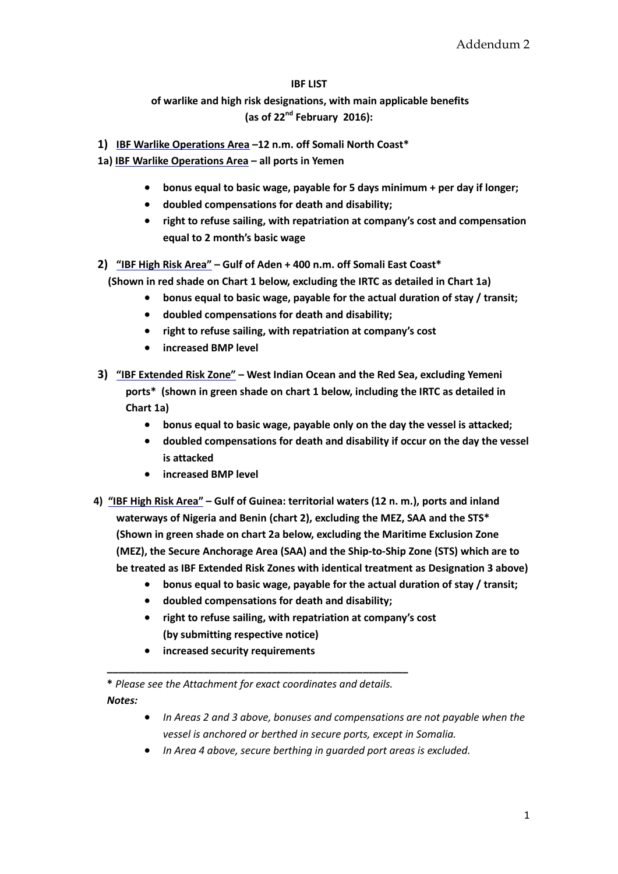#### **IBF LIST**

# **of warlike and high risk designations, with main applicable benefits (as of 22nd February 2016):**

- **1) IBF Warlike Operations Area –12 n.m. off Somali North Coast\***
- **1a) IBF Warlike Operations Area – all ports in Yemen**
	- **bonus equal to basic wage, payable for 5 days minimum + per day if longer;**
	- **doubled compensations for death and disability;**
	- **right to refuse sailing, with repatriation at company's cost and compensation equal to 2 month's basic wage**
- **2) "IBF High Risk Area" – Gulf of Aden + 400 n.m. off Somali East Coast\* (Shown in red shade on Chart 1 below, excluding the IRTC as detailed in Chart 1a)**
	- **bonus equal to basic wage, payable for the actual duration of stay / transit;**
	- **doubled compensations for death and disability;**
	- **right to refuse sailing, with repatriation at company's cost**
	- **increased BMP level**
- **3) "IBF Extended Risk Zone" – West Indian Ocean and the Red Sea, excluding Yemeni ports\* (shown in green shade on chart 1 below, including the IRTC as detailed in Chart 1a)**
	- **bonus equal to basic wage, payable only on the day the vessel is attacked;**
	- **doubled compensations for death and disability if occur on the day the vessel is attacked**
	- **increased BMP level**
- **4) "IBF High Risk Area" – Gulf of Guinea: territorial waters (12 n. m.), ports and inland waterways of Nigeria and Benin (chart 2), excluding the MEZ, SAA and the STS\* (Shown in green shade on chart 2a below, excluding the Maritime Exclusion Zone (MEZ), the Secure Anchorage Area (SAA) and the Ship-to-Ship Zone (STS) which are to be treated as IBF Extended Risk Zones with identical treatment as Designation 3 above)**
	- **bonus equal to basic wage, payable for the actual duration of stay / transit;**
	- **doubled compensations for death and disability;**
	- **right to refuse sailing, with repatriation at company's cost (by submitting respective notice)**
	- **increased security requirements**

**\*** *Please see the Attachment for exact coordinates and details.*

**\_\_\_\_\_\_\_\_\_\_\_\_\_\_\_\_\_\_\_\_\_\_\_\_\_\_\_\_\_\_\_\_\_\_\_\_\_\_\_\_\_\_\_\_\_\_\_\_\_\_\_\_\_**

*Notes:*

- *In Areas 2 and 3 above, bonuses and compensations are not payable when the vessel is anchored or berthed in secure ports, except in Somalia.*
- *In Area 4 above, secure berthing in guarded port areas is excluded.*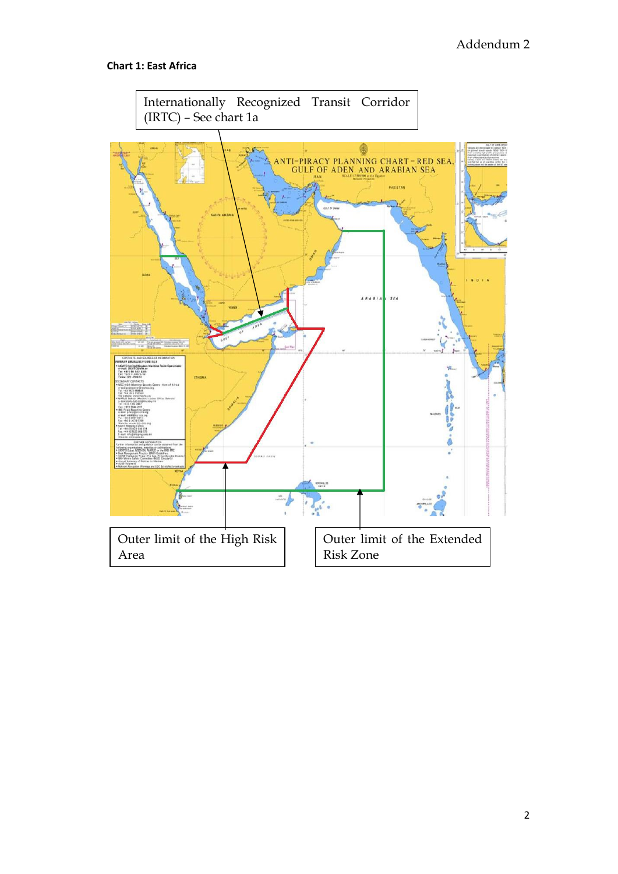# **Chart 1: East Africa**

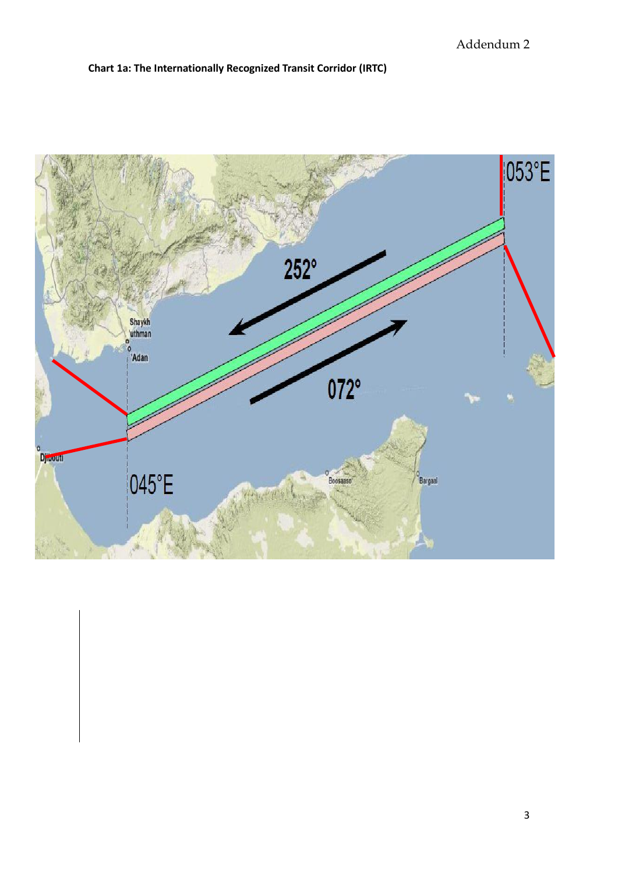# **Chart 1a: The Internationally Recognized Transit Corridor (IRTC)**

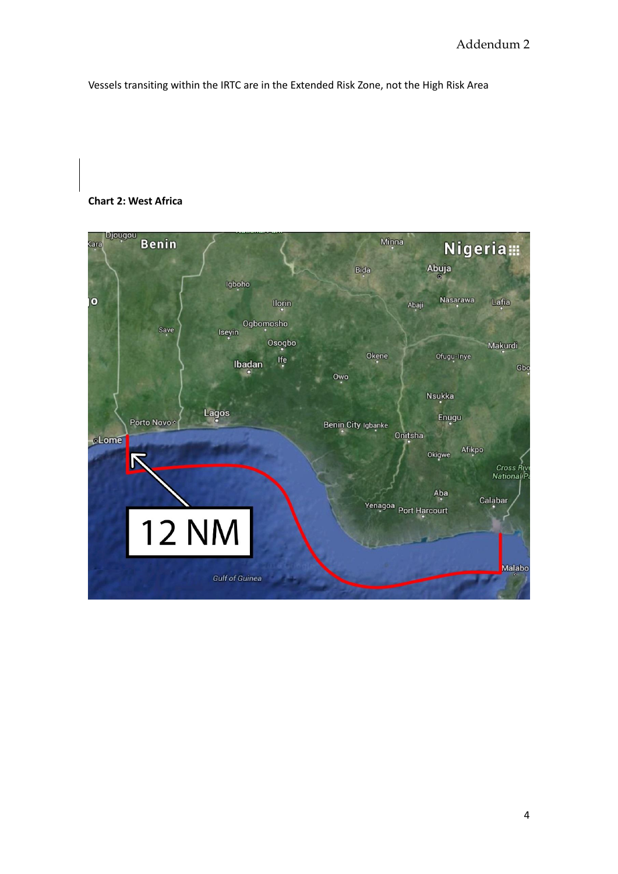Vessels transiting within the IRTC are in the Extended Risk Zone, not the High Risk Area

### **Chart 2: West Africa**

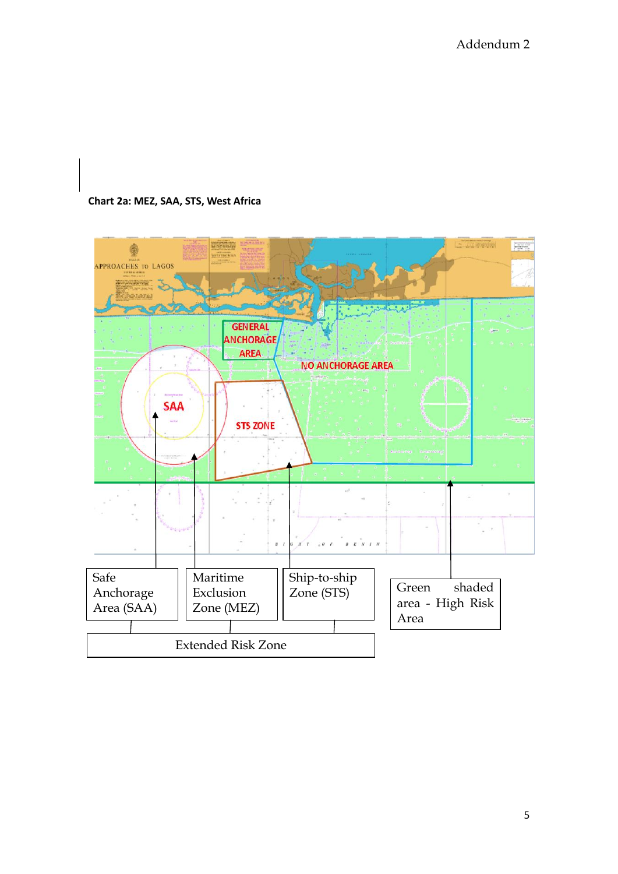## **Chart 2a: MEZ, SAA, STS, West Africa**

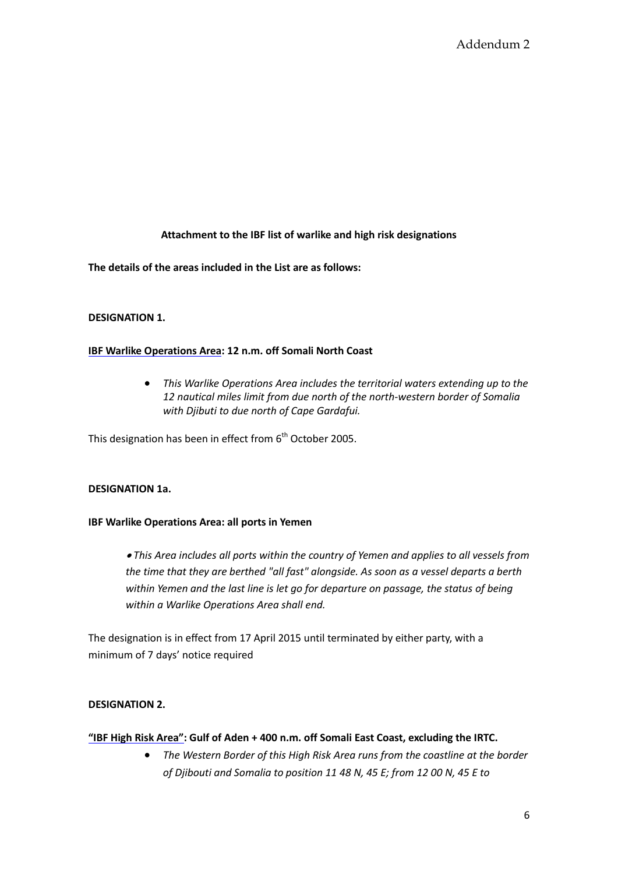# **Attachment to the IBF list of warlike and high risk designations**

**The details of the areas included in the List are as follows:**

### **DESIGNATION 1.**

### **IBF Warlike Operations Area: 12 n.m. off Somali North Coast**

 *This Warlike Operations Area includes the territorial waters extending up to the 12 nautical miles limit from due north of the north-western border of Somalia with Djibuti to due north of Cape Gardafui.*

This designation has been in effect from  $6<sup>th</sup>$  October 2005.

## **DESIGNATION 1a.**

#### **IBF Warlike Operations Area: all ports in Yemen**

 *This Area includes all ports within the country of Yemen and applies to all vessels from the time that they are berthed "all fast" alongside. As soon as a vessel departs a berth within Yemen and the last line is let go for departure on passage, the status of being within a Warlike Operations Area shall end.* 

The designation is in effect from 17 April 2015 until terminated by either party, with a minimum of 7 days' notice required

## **DESIGNATION 2.**

#### **"IBF High Risk Area": Gulf of Aden + 400 n.m. off Somali East Coast, excluding the IRTC.**

 *The Western Border of this High Risk Area runs from the coastline at the border of Djibouti and Somalia to position 11 48 N, 45 E; from 12 00 N, 45 E to*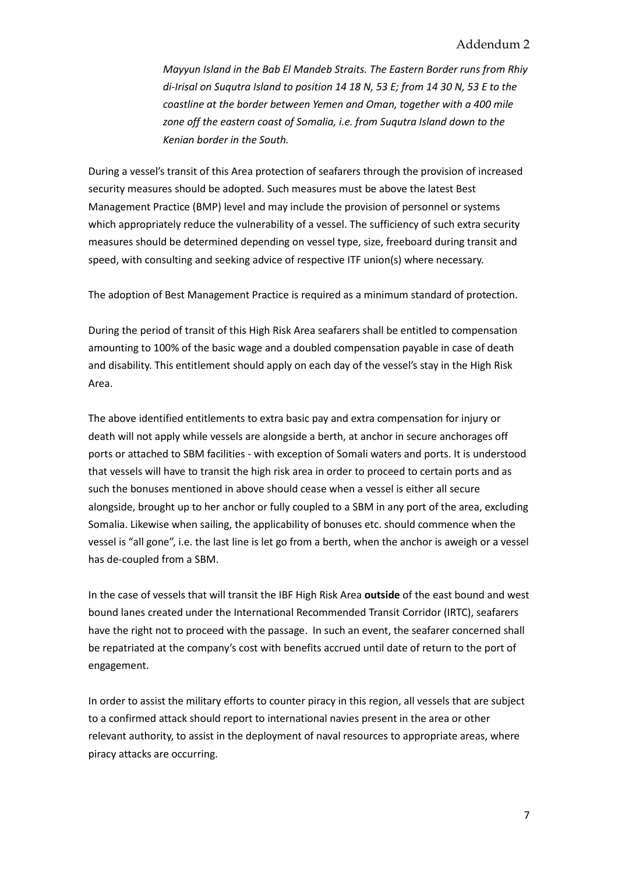*Mayyun Island in the Bab El Mandeb Straits. The Eastern Border runs from Rhiy di-Irisal on Suqutra Island to position 14 18 N, 53 E; from 14 30 N, 53 E to the coastline at the border between Yemen and Oman, together with a 400 mile zone off the eastern coast of Somalia, i.e. from Suqutra Island down to the Kenian border in the South.* 

During a vessel's transit of this Area protection of seafarers through the provision of increased security measures should be adopted. Such measures must be above the latest Best Management Practice (BMP) level and may include the provision of personnel or systems which appropriately reduce the vulnerability of a vessel. The sufficiency of such extra security measures should be determined depending on vessel type, size, freeboard during transit and speed, with consulting and seeking advice of respective ITF union(s) where necessary.

The adoption of Best Management Practice is required as a minimum standard of protection.

During the period of transit of this High Risk Area seafarers shall be entitled to compensation amounting to 100% of the basic wage and a doubled compensation payable in case of death and disability. This entitlement should apply on each day of the vessel's stay in the High Risk Area.

The above identified entitlements to extra basic pay and extra compensation for injury or death will not apply while vessels are alongside a berth, at anchor in secure anchorages off ports or attached to SBM facilities - with exception of Somali waters and ports. It is understood that vessels will have to transit the high risk area in order to proceed to certain ports and as such the bonuses mentioned in above should cease when a vessel is either all secure alongside, brought up to her anchor or fully coupled to a SBM in any port of the area, excluding Somalia. Likewise when sailing, the applicability of bonuses etc. should commence when the vessel is "all gone", i.e. the last line is let go from a berth, when the anchor is aweigh or a vessel has de-coupled from a SBM.

In the case of vessels that will transit the IBF High Risk Area **outside** of the east bound and west bound lanes created under the International Recommended Transit Corridor (IRTC), seafarers have the right not to proceed with the passage. In such an event, the seafarer concerned shall be repatriated at the company's cost with benefits accrued until date of return to the port of engagement.

In order to assist the military efforts to counter piracy in this region, all vessels that are subject to a confirmed attack should report to international navies present in the area or other relevant authority, to assist in the deployment of naval resources to appropriate areas, where piracy attacks are occurring.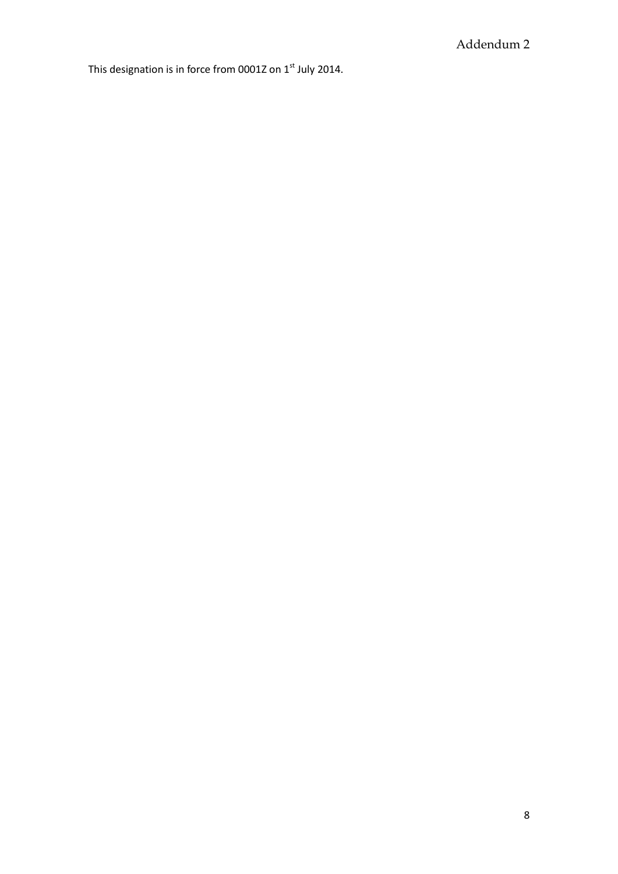This designation is in force from 0001Z on  $1<sup>st</sup>$  July 2014.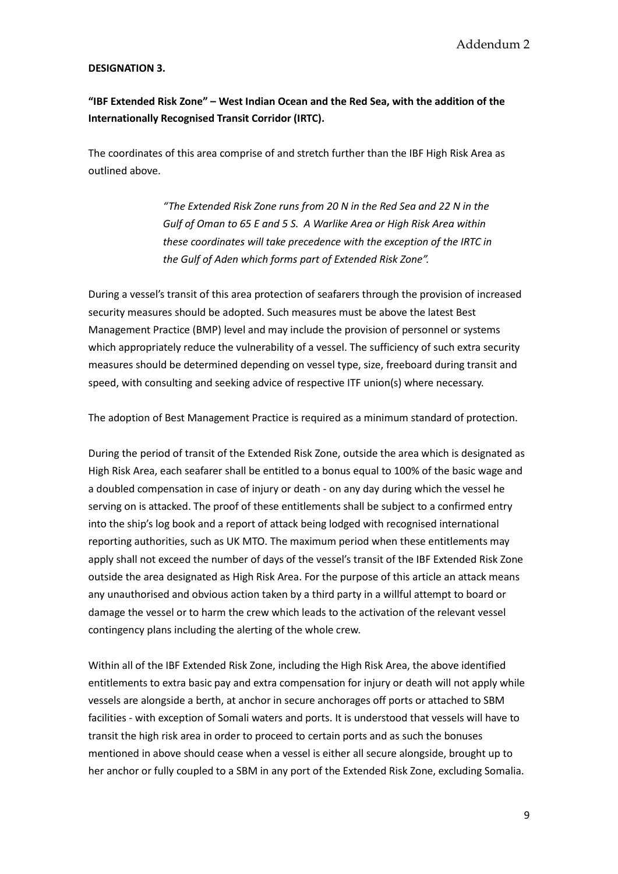#### **DESIGNATION 3.**

**"IBF Extended Risk Zone" – West Indian Ocean and the Red Sea, with the addition of the Internationally Recognised Transit Corridor (IRTC).**

The coordinates of this area comprise of and stretch further than the IBF High Risk Area as outlined above.

> *"The Extended Risk Zone runs from 20 N in the Red Sea and 22 N in the Gulf of Oman to 65 E and 5 S. A Warlike Area or High Risk Area within these coordinates will take precedence with the exception of the IRTC in the Gulf of Aden which forms part of Extended Risk Zone".*

During a vessel's transit of this area protection of seafarers through the provision of increased security measures should be adopted. Such measures must be above the latest Best Management Practice (BMP) level and may include the provision of personnel or systems which appropriately reduce the vulnerability of a vessel. The sufficiency of such extra security measures should be determined depending on vessel type, size, freeboard during transit and speed, with consulting and seeking advice of respective ITF union(s) where necessary.

The adoption of Best Management Practice is required as a minimum standard of protection.

During the period of transit of the Extended Risk Zone, outside the area which is designated as High Risk Area, each seafarer shall be entitled to a bonus equal to 100% of the basic wage and a doubled compensation in case of injury or death - on any day during which the vessel he serving on is attacked. The proof of these entitlements shall be subject to a confirmed entry into the ship's log book and a report of attack being lodged with recognised international reporting authorities, such as UK MTO. The maximum period when these entitlements may apply shall not exceed the number of days of the vessel's transit of the IBF Extended Risk Zone outside the area designated as High Risk Area. For the purpose of this article an attack means any unauthorised and obvious action taken by a third party in a willful attempt to board or damage the vessel or to harm the crew which leads to the activation of the relevant vessel contingency plans including the alerting of the whole crew.

Within all of the IBF Extended Risk Zone, including the High Risk Area, the above identified entitlements to extra basic pay and extra compensation for injury or death will not apply while vessels are alongside a berth, at anchor in secure anchorages off ports or attached to SBM facilities - with exception of Somali waters and ports. It is understood that vessels will have to transit the high risk area in order to proceed to certain ports and as such the bonuses mentioned in above should cease when a vessel is either all secure alongside, brought up to her anchor or fully coupled to a SBM in any port of the Extended Risk Zone, excluding Somalia.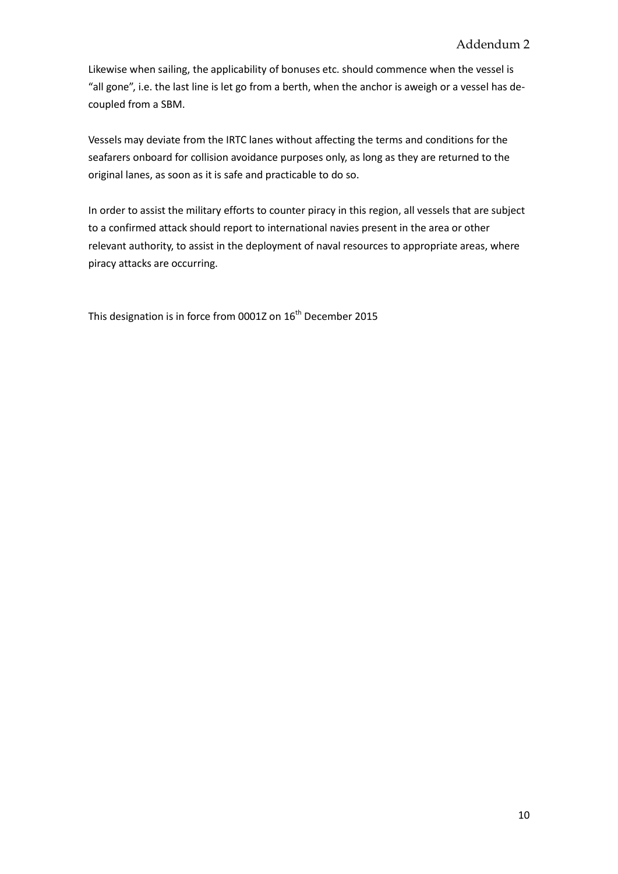Likewise when sailing, the applicability of bonuses etc. should commence when the vessel is "all gone", i.e. the last line is let go from a berth, when the anchor is aweigh or a vessel has decoupled from a SBM.

Vessels may deviate from the IRTC lanes without affecting the terms and conditions for the seafarers onboard for collision avoidance purposes only, as long as they are returned to the original lanes, as soon as it is safe and practicable to do so.

In order to assist the military efforts to counter piracy in this region, all vessels that are subject to a confirmed attack should report to international navies present in the area or other relevant authority, to assist in the deployment of naval resources to appropriate areas, where piracy attacks are occurring.

This designation is in force from 0001Z on 16<sup>th</sup> December 2015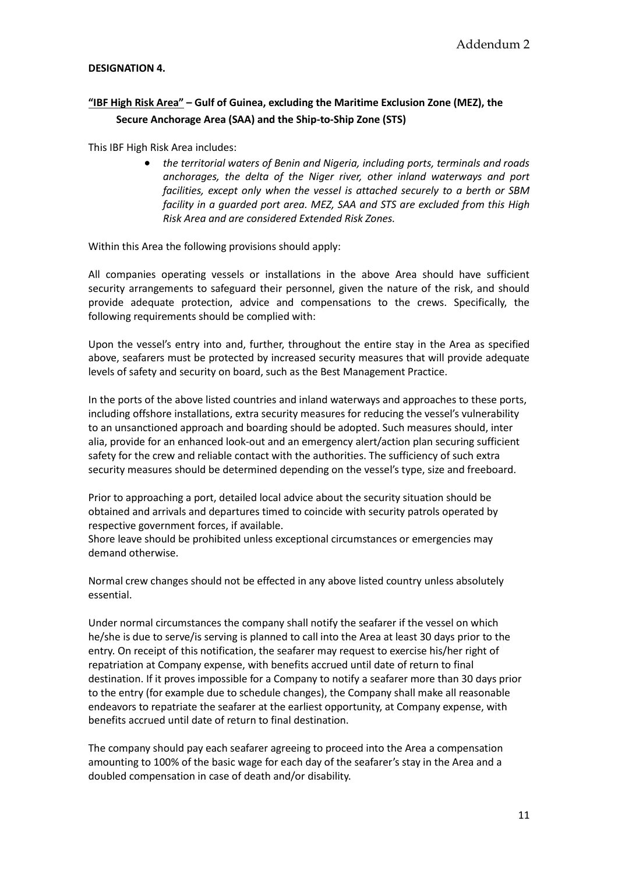### **DESIGNATION 4.**

# **"IBF High Risk Area" – Gulf of Guinea, excluding the Maritime Exclusion Zone (MEZ), the Secure Anchorage Area (SAA) and the Ship-to-Ship Zone (STS)**

This IBF High Risk Area includes:

 *the territorial waters of Benin and Nigeria, including ports, terminals and roads anchorages, the delta of the Niger river, other inland waterways and port facilities, except only when the vessel is attached securely to a berth or SBM facility in a guarded port area. MEZ, SAA and STS are excluded from this High Risk Area and are considered Extended Risk Zones.*

Within this Area the following provisions should apply:

All companies operating vessels or installations in the above Area should have sufficient security arrangements to safeguard their personnel, given the nature of the risk, and should provide adequate protection, advice and compensations to the crews. Specifically, the following requirements should be complied with:

Upon the vessel's entry into and, further, throughout the entire stay in the Area as specified above, seafarers must be protected by increased security measures that will provide adequate levels of safety and security on board, such as the Best Management Practice.

In the ports of the above listed countries and inland waterways and approaches to these ports, including offshore installations, extra security measures for reducing the vessel's vulnerability to an unsanctioned approach and boarding should be adopted. Such measures should, inter alia, provide for an enhanced look-out and an emergency alert/action plan securing sufficient safety for the crew and reliable contact with the authorities. The sufficiency of such extra security measures should be determined depending on the vessel's type, size and freeboard.

Prior to approaching a port, detailed local advice about the security situation should be obtained and arrivals and departures timed to coincide with security patrols operated by respective government forces, if available.

Shore leave should be prohibited unless exceptional circumstances or emergencies may demand otherwise.

Normal crew changes should not be effected in any above listed country unless absolutely essential.

Under normal circumstances the company shall notify the seafarer if the vessel on which he/she is due to serve/is serving is planned to call into the Area at least 30 days prior to the entry. On receipt of this notification, the seafarer may request to exercise his/her right of repatriation at Company expense, with benefits accrued until date of return to final destination. If it proves impossible for a Company to notify a seafarer more than 30 days prior to the entry (for example due to schedule changes), the Company shall make all reasonable endeavors to repatriate the seafarer at the earliest opportunity, at Company expense, with benefits accrued until date of return to final destination.

The company should pay each seafarer agreeing to proceed into the Area a compensation amounting to 100% of the basic wage for each day of the seafarer's stay in the Area and a doubled compensation in case of death and/or disability.